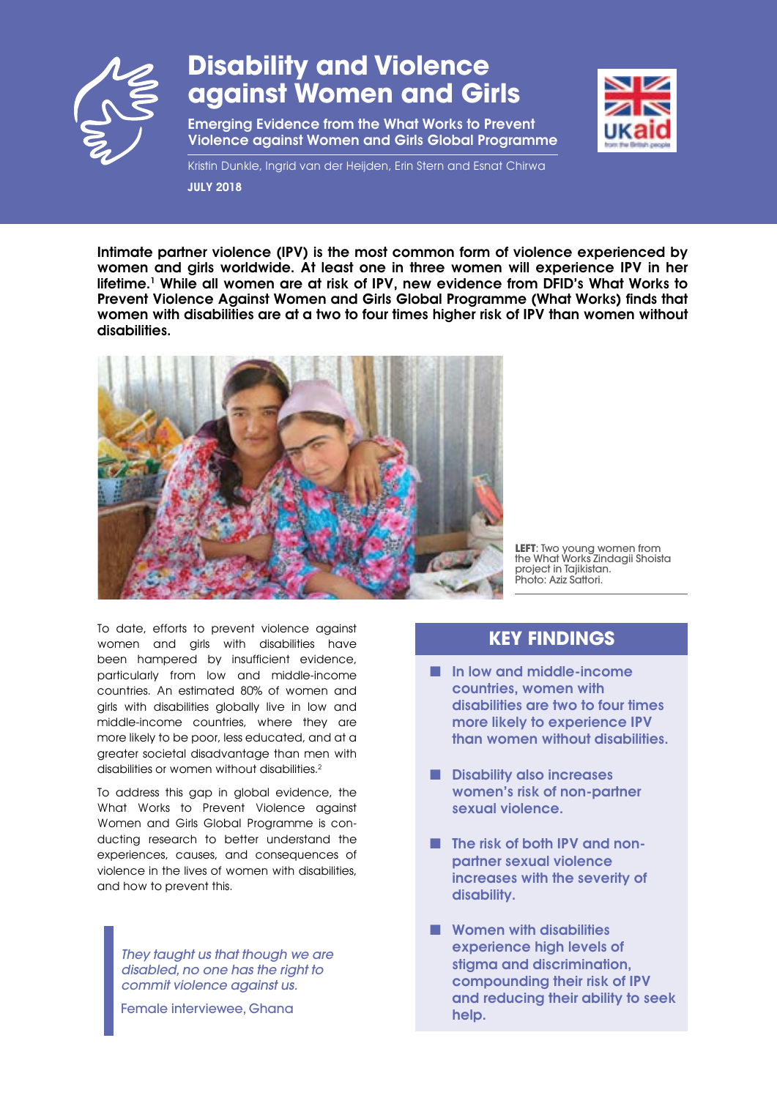

# **Disability and Violence against Women and Girls**

Emerging Evidence from the What Works to Prevent Violence against Women and Girls Global Programme



Kristin Dunkle, Ingrid van der Heijden, Erin Stern and Esnat Chirwa JULY 2018

Intimate partner violence (IPV) is the most common form of violence experienced by women and girls worldwide. At least one in three women will experience IPV in her lifetime.<sup>1</sup> While all women are at risk of IPV, new evidence from DFID's What Works to Prevent Violence Against Women and Girls Global Programme (What Works) finds that women with disabilities are at a two to four times higher risk of IPV than women without disabilities.



**LEFT**: Two young women from the What Works Zindagii Shoista project in Tajikistan. Photo: Aziz Sattori.

To date, efforts to prevent violence against women and girls with disabilities have been hampered by insufficient evidence, particularly from low and middle-income countries. An estimated 80% of women and girls with disabilities globally live in low and middle-income countries, where they are more likely to be poor, less educated, and at a greater societal disadvantage than men with disabilities or women without disabilities.2

To address this gap in global evidence, the What Works to Prevent Violence against Women and Girls Global Programme is conducting research to better understand the experiences, causes, and consequences of violence in the lives of women with disabilities, and how to prevent this.

*They taught us that though we are disabled, no one has the right to commit violence against us.*

Female interviewee, Ghana

## **KEY FINDINGS**

- In low and middle-income countries, women with disabilities are two to four times more likely to experience IPV than women without disabilities.
- Disability also increases women's risk of non-partner sexual violence.
- The risk of both IPV and nonpartner sexual violence increases with the severity of disability.
- Women with disabilities experience high levels of stigma and discrimination, compounding their risk of IPV and reducing their ability to seek help.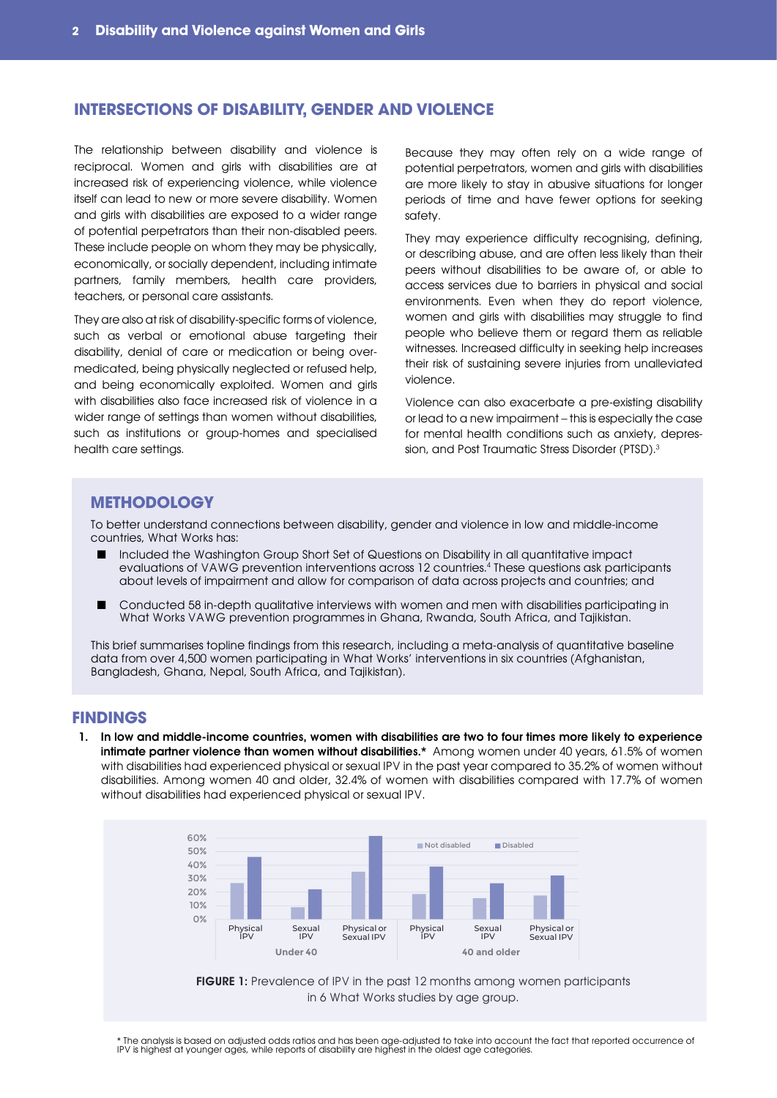### **INTERSECTIONS OF DISABILITY, GENDER AND VIOLENCE**

The relationship between disability and violence is reciprocal. Women and girls with disabilities are at increased risk of experiencing violence, while violence itself can lead to new or more severe disability. Women and girls with disabilities are exposed to a wider range of potential perpetrators than their non-disabled peers. These include people on whom they may be physically, economically, or socially dependent, including intimate partners, family members, health care providers, teachers, or personal care assistants.

They are also at risk of disability-specific forms of violence, such as verbal or emotional abuse targeting their disability, denial of care or medication or being overmedicated, being physically neglected or refused help, and being economically exploited. Women and girls with disabilities also face increased risk of violence in a wider range of settings than women without disabilities, such as institutions or group-homes and specialised health care settings.

Because they may often rely on a wide range of potential perpetrators, women and girls with disabilities are more likely to stay in abusive situations for longer periods of time and have fewer options for seeking safety.

They may experience difficulty recognising, defining, or describing abuse, and are often less likely than their peers without disabilities to be aware of, or able to access services due to barriers in physical and social environments. Even when they do report violence, women and girls with disabilities may struggle to find people who believe them or regard them as reliable witnesses. Increased difficulty in seeking help increases their risk of sustaining severe injuries from unalleviated violence.

Violence can also exacerbate a pre-existing disability or lead to a new impairment – this is especially the case for mental health conditions such as anxiety, depression, and Post Traumatic Stress Disorder (PTSD).<sup>3</sup>

#### **METHODOLOGY**

To better understand connections between disability, gender and violence in low and middle-income countries, What Works has:

- Included the Washington Group Short Set of Questions on Disability in all quantitative impact evaluations of VAWG prevention interventions across 12 countries.4 These questions ask participants about levels of impairment and allow for comparison of data across projects and countries; and
- Conducted 58 in-depth qualitative interviews with women and men with disabilities participating in What Works VAWG prevention programmes in Ghana, Rwanda, South Africa, and Tajikistan.

This brief summarises topline findings from this research, including a meta-analysis of quantitative baseline data from over 4,500 women participating in What Works' interventions in six countries (Afghanistan, Bangladesh, Ghana, Nepal, South Africa, and Tajikistan).

#### **FINDINGS**

1. In low and middle-income countries, women with disabilities are two to four times more likely to experience intimate partner violence than women without disabilities.\* Among women under 40 years, 61.5% of women with disabilities had experienced physical or sexual IPV in the past year compared to 35.2% of women without disabilities. Among women 40 and older, 32.4% of women with disabilities compared with 17.7% of women without disabilities had experienced physical or sexual IPV.





\* The analysis is based on adjusted odds ratios and has been age-adjusted to take into account the fact that reported occurrence of<br>IPV is highest at younger ages, while reports of disability are highest in the oldest age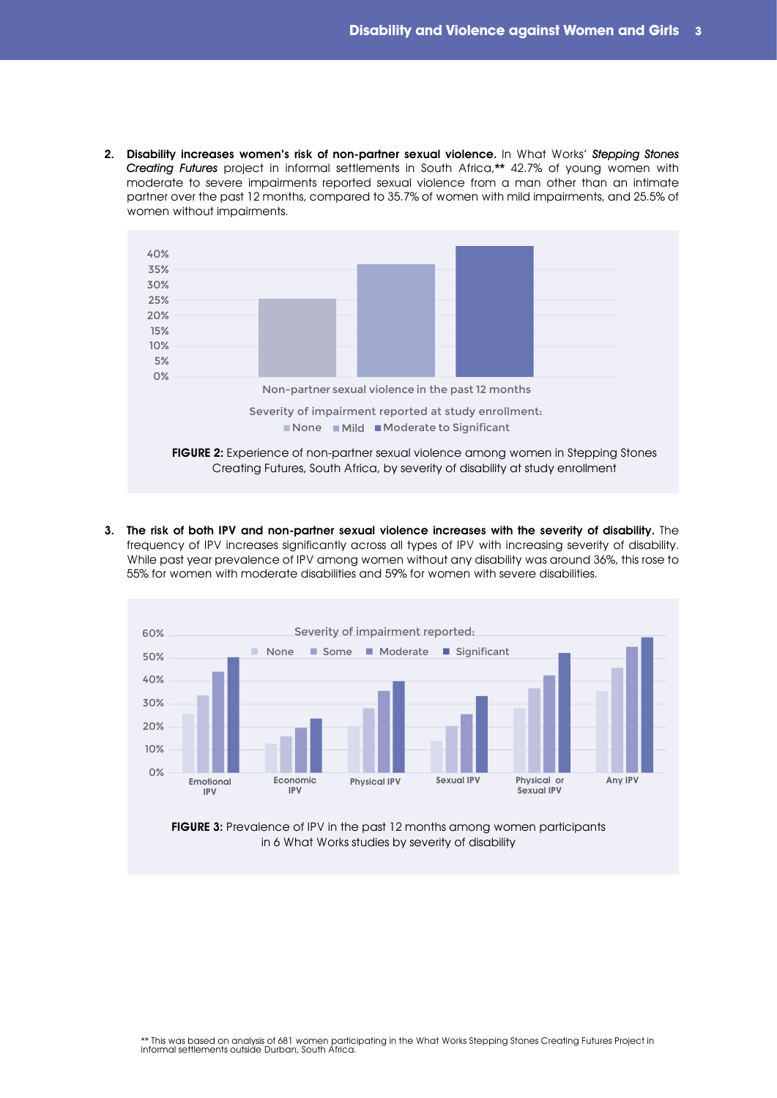2. Disability increases women's risk of non-partner sexual violence. In What Works' Stepping Stones Creating Futures project in informal settlements in South Africa,\*\* 42.7% of young women with moderate to severe impairments reported sexual violence from a man other than an intimate partner over the past 12 months, compared to 35.7% of women with mild impairments, and 25.5% of women without impairments.



3. The risk of both IPV and non-partner sexual violence increases with the severity of disability. The frequency of IPV increases significantly across all types of IPV with increasing severity of disability. While past year prevalence of IPV among women without any disability was around 36%, this rose to 55% for women with moderate disabilities and 59% for women with severe disabilities.



in 6 What Works studies by severity of disability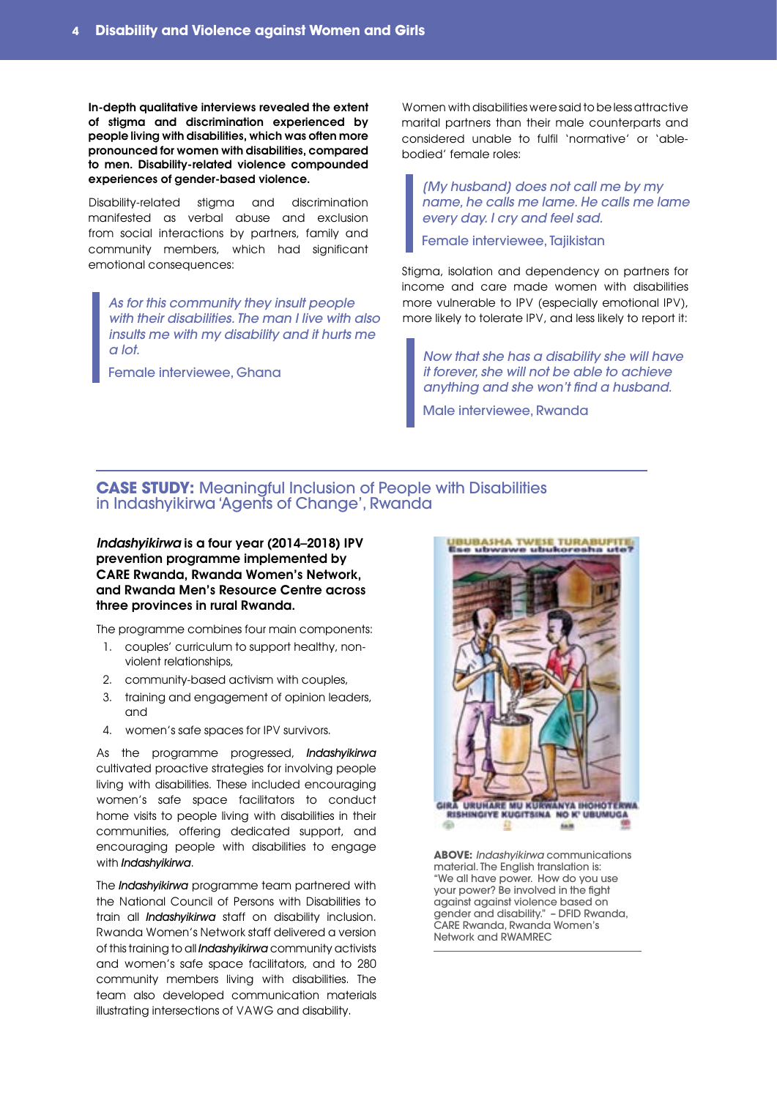In-depth qualitative interviews revealed the extent of stigma and discrimination experienced by people living with disabilities, which was often more pronounced for women with disabilities, compared to men. Disability-related violence compounded experiences of gender-based violence.

Disability-related stigma and discrimination manifested as verbal abuse and exclusion from social interactions by partners, family and community members, which had significant emotional consequences:

*As for this community they insult people with their disabilities. The man I live with also insults me with my disability and it hurts me a lot.*

Female interviewee, Ghana

Women with disabilities were said to be less attractive marital partners than their male counterparts and considered unable to fulfil 'normative' or 'ablebodied' female roles:

*[My husband] does not call me by my name, he calls me lame. He calls me lame every day. I cry and feel sad.*

Female interviewee, Tajikistan

Stigma, isolation and dependency on partners for income and care made women with disabilities more vulnerable to IPV (especially emotional IPV), more likely to tolerate IPV, and less likely to report it:

*Now that she has a disability she will have it forever, she will not be able to achieve anything and she won't find a husband.*

Male interviewee, Rwanda

#### **CASE STUDY:** Meaningful Inclusion of People with Disabilities in Indashyikirwa 'Agents of Change', Rwanda

*Indashyikirwa* is a four year (2014–2018) IPV prevention programme implemented by CARE Rwanda, Rwanda Women's Network, and Rwanda Men's Resource Centre across three provinces in rural Rwanda.

The programme combines four main components:

- 1. couples' curriculum to support healthy, nonviolent relationships,
- 2. community-based activism with couples,
- 3. training and engagement of opinion leaders, and
- 4. women's safe spaces for IPV survivors.

As the programme progressed, Indashyikirwa cultivated proactive strategies for involving people living with disabilities. These included encouraging women's safe space facilitators to conduct home visits to people living with disabilities in their communities, offering dedicated support, and encouraging people with disabilities to engage with **Indashyikirwa**.

The **Indashyikirwa** programme team partnered with the National Council of Persons with Disabilities to train all *Indashyikirwa* staff on disability inclusion. Rwanda Women's Network staff delivered a version of this training to all *Indashyikirwa* community activists and women's safe space facilitators, and to 280 community members living with disabilities. The team also developed communication materials illustrating intersections of VAWG and disability.



**ABOVE:** *Indashyikirwa* communications material. The English translation is: "We all have power. How do you use your power? Be involved in the fight against against violence based on gender and disability." – DFID Rwanda, CARE Rwanda, Rwanda Women's Network and RWAMREC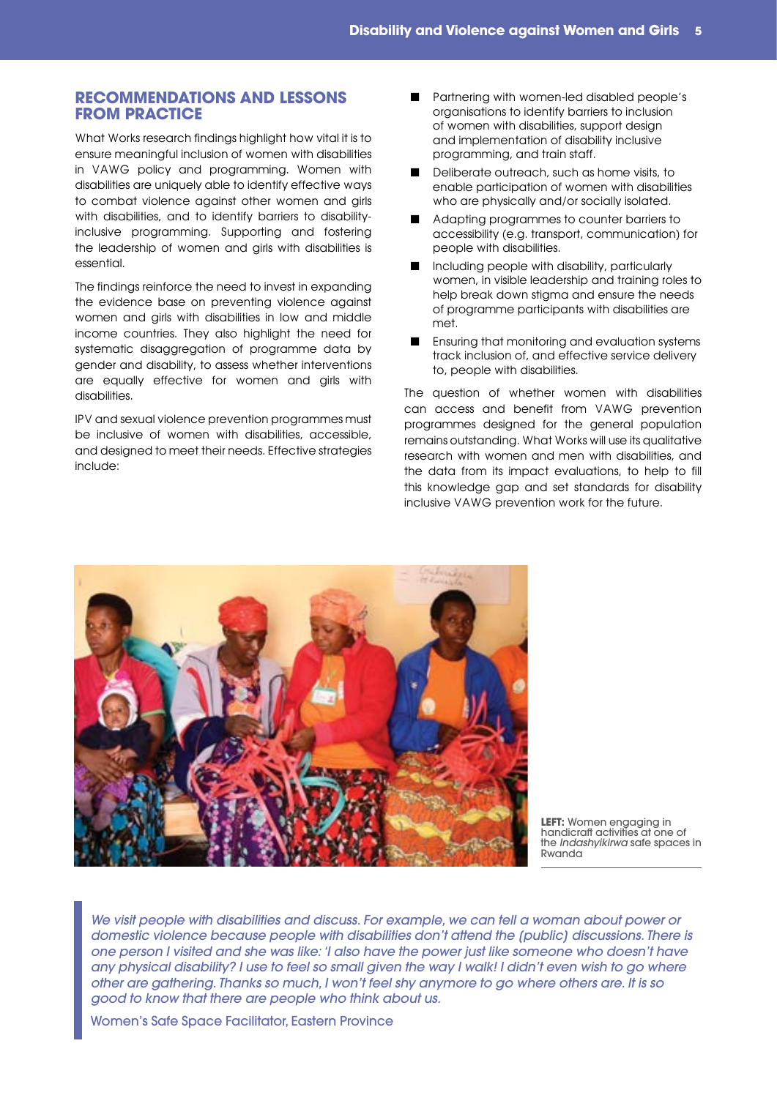#### **RECOMMENDATIONS AND LESSONS FROM PRACTICE**

What Works research findings highlight how vital it is to ensure meaningful inclusion of women with disabilities in VAWG policy and programming. Women with disabilities are uniquely able to identify effective ways to combat violence against other women and girls with disabilities, and to identify barriers to disabilityinclusive programming. Supporting and fostering the leadership of women and girls with disabilities is essential.

The findings reinforce the need to invest in expanding the evidence base on preventing violence against women and girls with disabilities in low and middle income countries. They also highlight the need for systematic disaggregation of programme data by gender and disability, to assess whether interventions are equally effective for women and girls with disabilities.

IPV and sexual violence prevention programmes must be inclusive of women with disabilities, accessible, and designed to meet their needs. Effective strategies include:

- Partnering with women-led disabled people's organisations to identify barriers to inclusion of women with disabilities, support design and implementation of disability inclusive programming, and train staff.
- Deliberate outreach, such as home visits, to enable participation of women with disabilities who are physically and/or socially isolated.
- Adapting programmes to counter barriers to accessibility (e.g. transport, communication) for people with disabilities.
- Including people with disability, particularly women, in visible leadership and training roles to help break down stigma and ensure the needs of programme participants with disabilities are met.
- Ensuring that monitoring and evaluation systems track inclusion of, and effective service delivery to, people with disabilities.

The question of whether women with disabilities can access and benefit from VAWG prevention programmes designed for the general population remains outstanding. What Works will use its qualitative research with women and men with disabilities, and the data from its impact evaluations, to help to fill this knowledge gap and set standards for disability inclusive VAWG prevention work for the future.



**LEFT:** Women engaging in handicraft activities at one of the *Indashyikirwa* safe spaces in Rwanda

*We visit people with disabilities and discuss. For example, we can tell a woman about power or domestic violence because people with disabilities don't attend the [public] discussions. There is one person I visited and she was like: 'I also have the power just like someone who doesn't have any physical disability? I use to feel so small given the way I walk! I didn't even wish to go where other are gathering. Thanks so much, I won't feel shy anymore to go where others are. It is so good to know that there are people who think about us.*

Women's Safe Space Facilitator, Eastern Province